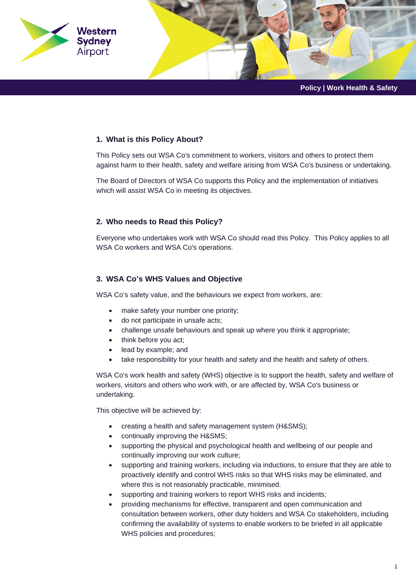

### **1. What is this Policy About?**

This Policy sets out WSA Co's commitment to workers, visitors and others to protect them against harm to their health, safety and welfare arising from WSA Co's business or undertaking.

The Board of Directors of WSA Co supports this Policy and the implementation of initiatives which will assist WSA Co in meeting its objectives.

### **2. Who needs to Read this Policy?**

Everyone who undertakes work with WSA Co should read this Policy. This Policy applies to all WSA Co workers and WSA Co's operations.

# **3. WSA Co's WHS Values and Objective**

WSA Co's safety value, and the behaviours we expect from workers, are:

- make safety your number one priority;
- do not participate in unsafe acts;
- challenge unsafe behaviours and speak up where you think it appropriate;
- think before you act;
- lead by example; and
- take responsibility for your health and safety and the health and safety of others.

WSA Co's work health and safety (WHS) objective is to support the health, safety and welfare of workers, visitors and others who work with, or are affected by, WSA Co's business or undertaking.

This objective will be achieved by:

- creating a health and safety management system (H&SMS);
- continually improving the H&SMS;
- supporting the physical and psychological health and wellbeing of our people and continually improving our work culture;
- supporting and training workers, including via inductions, to ensure that they are able to proactively identify and control WHS risks so that WHS risks may be eliminated, and where this is not reasonably practicable, minimised.
- supporting and training workers to report WHS risks and incidents;
- providing mechanisms for effective, transparent and open communication and consultation between workers, other duty holders and WSA Co stakeholders, including confirming the availability of systems to enable workers to be briefed in all applicable WHS policies and procedures;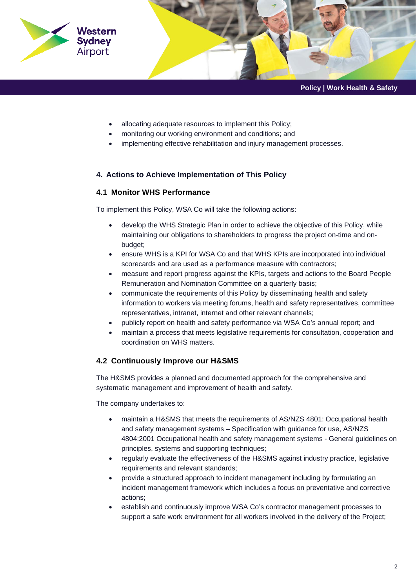

- allocating adequate resources to implement this Policy;
- monitoring our working environment and conditions; and
- implementing effective rehabilitation and injury management processes.

### **4. Actions to Achieve Implementation of This Policy**

#### **4.1 Monitor WHS Performance**

To implement this Policy, WSA Co will take the following actions:

- develop the WHS Strategic Plan in order to achieve the objective of this Policy, while maintaining our obligations to shareholders to progress the project on-time and onbudget;
- ensure WHS is a KPI for WSA Co and that WHS KPIs are incorporated into individual scorecards and are used as a performance measure with contractors;
- measure and report progress against the KPIs, targets and actions to the Board People Remuneration and Nomination Committee on a quarterly basis;
- communicate the requirements of this Policy by disseminating health and safety information to workers via meeting forums, health and safety representatives, committee representatives, intranet, internet and other relevant channels;
- publicly report on health and safety performance via WSA Co's annual report; and
- maintain a process that meets legislative requirements for consultation, cooperation and coordination on WHS matters.

#### **4.2 Continuously Improve our H&SMS**

The H&SMS provides a planned and documented approach for the comprehensive and systematic management and improvement of health and safety.

The company undertakes to:

- maintain a H&SMS that meets the requirements of AS/NZS 4801: Occupational health and safety management systems – Specification with guidance for use, AS/NZS 4804:2001 Occupational health and safety management systems - General guidelines on principles, systems and supporting techniques;
- regularly evaluate the effectiveness of the H&SMS against industry practice, legislative requirements and relevant standards;
- provide a structured approach to incident management including by formulating an incident management framework which includes a focus on preventative and corrective actions;
- establish and continuously improve WSA Co's contractor management processes to support a safe work environment for all workers involved in the delivery of the Project;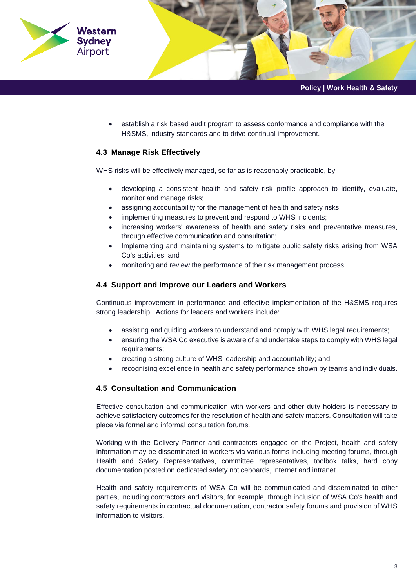

- **Policy | Work Health & Safety**
- establish a risk based audit program to assess conformance and compliance with the H&SMS, industry standards and to drive continual improvement.

### **4.3 Manage Risk Effectively**

WHS risks will be effectively managed, so far as is reasonably practicable, by:

- developing a consistent health and safety risk profile approach to identify, evaluate, monitor and manage risks;
- assigning accountability for the management of health and safety risks;
- implementing measures to prevent and respond to WHS incidents;
- increasing workers' awareness of health and safety risks and preventative measures, through effective communication and consultation;
- Implementing and maintaining systems to mitigate public safety risks arising from WSA Co's activities; and
- monitoring and review the performance of the risk management process.

#### **4.4 Support and Improve our Leaders and Workers**

Continuous improvement in performance and effective implementation of the H&SMS requires strong leadership. Actions for leaders and workers include:

- assisting and guiding workers to understand and comply with WHS legal requirements;
- ensuring the WSA Co executive is aware of and undertake steps to comply with WHS legal requirements;
- creating a strong culture of WHS leadership and accountability; and
- recognising excellence in health and safety performance shown by teams and individuals.

#### **4.5 Consultation and Communication**

Effective consultation and communication with workers and other duty holders is necessary to achieve satisfactory outcomes for the resolution of health and safety matters. Consultation will take place via formal and informal consultation forums.

Working with the Delivery Partner and contractors engaged on the Project, health and safety information may be disseminated to workers via various forms including meeting forums, through Health and Safety Representatives, committee representatives, toolbox talks, hard copy documentation posted on dedicated safety noticeboards, internet and intranet.

Health and safety requirements of WSA Co will be communicated and disseminated to other parties, including contractors and visitors, for example, through inclusion of WSA Co's health and safety requirements in contractual documentation, contractor safety forums and provision of WHS information to visitors.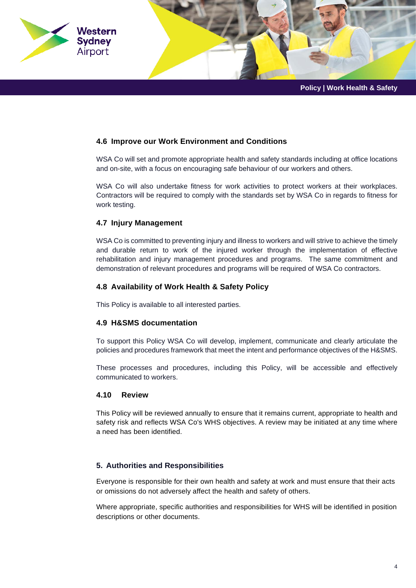

# **4.6 Improve our Work Environment and Conditions**

WSA Co will set and promote appropriate health and safety standards including at office locations and on-site, with a focus on encouraging safe behaviour of our workers and others.

WSA Co will also undertake fitness for work activities to protect workers at their workplaces. Contractors will be required to comply with the standards set by WSA Co in regards to fitness for work testing.

# **4.7 Injury Management**

WSA Co is committed to preventing injury and illness to workers and will strive to achieve the timely and durable return to work of the injured worker through the implementation of effective rehabilitation and injury management procedures and programs. The same commitment and demonstration of relevant procedures and programs will be required of WSA Co contractors.

# **4.8 Availability of Work Health & Safety Policy**

This Policy is available to all interested parties.

# **4.9 H&SMS documentation**

To support this Policy WSA Co will develop, implement, communicate and clearly articulate the policies and procedures framework that meet the intent and performance objectives of the H&SMS.

These processes and procedures, including this Policy, will be accessible and effectively communicated to workers.

# **4.10 Review**

This Policy will be reviewed annually to ensure that it remains current, appropriate to health and safety risk and reflects WSA Co's WHS objectives. A review may be initiated at any time where a need has been identified.

# **5. Authorities and Responsibilities**

Everyone is responsible for their own health and safety at work and must ensure that their acts or omissions do not adversely affect the health and safety of others.

Where appropriate, specific authorities and responsibilities for WHS will be identified in position descriptions or other documents.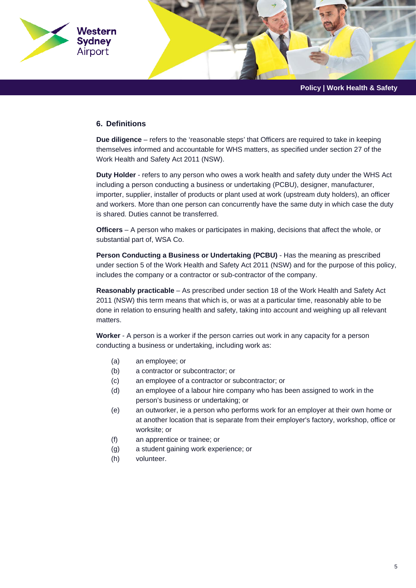

#### **6. Definitions**

**Due diligence** – refers to the 'reasonable steps' that Officers are required to take in keeping themselves informed and accountable for WHS matters, as specified under section 27 of the Work Health and Safety Act 2011 (NSW).

**Duty Holder** - refers to any person who owes a work health and safety duty under the WHS Act including a person conducting a business or undertaking (PCBU), designer, manufacturer, importer, supplier, installer of products or plant used at work (upstream duty holders), an officer and workers. More than one person can concurrently have the same duty in which case the duty is shared. Duties cannot be transferred.

**Officers** – A person who makes or participates in making, decisions that affect the whole, or substantial part of, WSA Co.

**Person Conducting a Business or Undertaking (PCBU)** - Has the meaning as prescribed under section 5 of the Work Health and Safety Act 2011 (NSW) and for the purpose of this policy, includes the company or a contractor or sub-contractor of the company.

**Reasonably practicable** – As prescribed under section 18 of the Work Health and Safety Act 2011 (NSW) this term means that which is, or was at a particular time, reasonably able to be done in relation to ensuring health and safety, taking into account and weighing up all relevant matters.

**Worker** - A person is a worker if the person carries out work in any capacity for a person conducting a business or undertaking, including work as:

- (a) an employee; or
- (b) a contractor or subcontractor; or
- (c) an employee of a contractor or subcontractor; or
- (d) an employee of a labour hire company who has been assigned to work in the person's business or undertaking; or
- (e) an outworker, ie a person who performs work for an employer at their own home or at another location that is separate from their employer's factory, workshop, office or worksite; or
- (f) an apprentice or trainee; or
- (g) a student gaining work experience; or
- (h) volunteer.